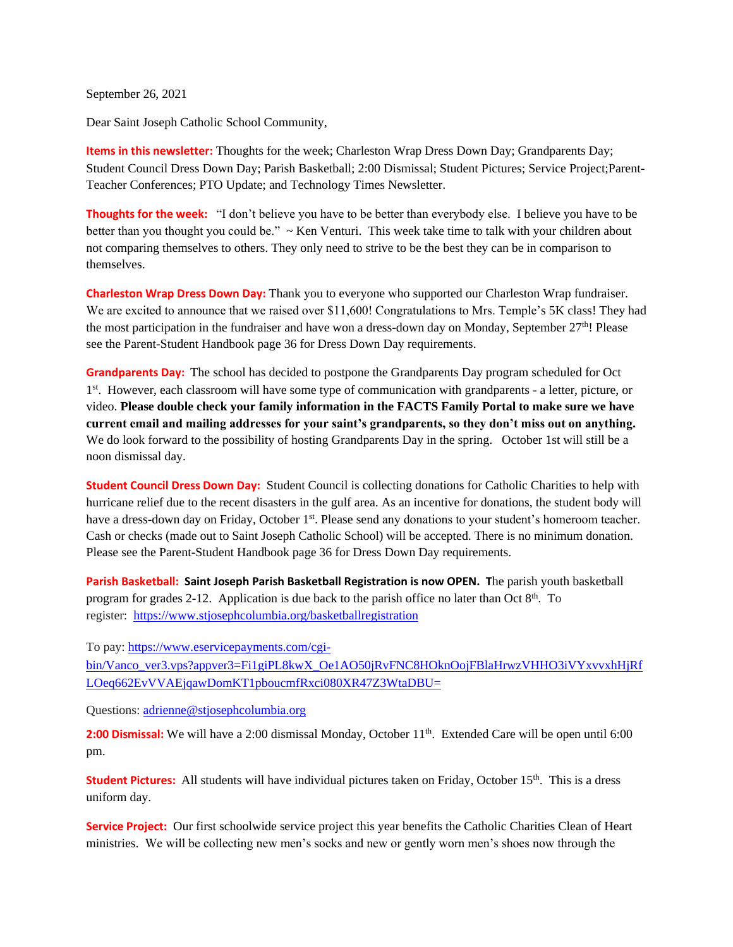September 26, 2021

Dear Saint Joseph Catholic School Community,

**Items in this newsletter:** Thoughts for the week; Charleston Wrap Dress Down Day; Grandparents Day; Student Council Dress Down Day; Parish Basketball; 2:00 Dismissal; Student Pictures; Service Project;Parent-Teacher Conferences; PTO Update; and Technology Times Newsletter.

**Thoughts for the week:**"I don't believe you have to be better than everybody else. I believe you have to be better than you thought you could be." ~ Ken Venturi. This week take time to talk with your children about not comparing themselves to others. They only need to strive to be the best they can be in comparison to themselves.

**Charleston Wrap Dress Down Day:** Thank you to everyone who supported our Charleston Wrap fundraiser. We are excited to announce that we raised over \$11,600! Congratulations to Mrs. Temple's 5K class! They had the most participation in the fundraiser and have won a dress-down day on Monday, September 27th! Please see the Parent-Student Handbook page 36 for Dress Down Day requirements.

**Grandparents Day:** The school has decided to postpone the Grandparents Day program scheduled for Oct 1<sup>st</sup>. However, each classroom will have some type of communication with grandparents - a letter, picture, or video. **Please double check your family information in the FACTS Family Portal to make sure we have current email and mailing addresses for your saint's grandparents, so they don't miss out on anything.** We do look forward to the possibility of hosting Grandparents Day in the spring. October 1st will still be a noon dismissal day.

**Student Council Dress Down Day:** Student Council is collecting donations for Catholic Charities to help with hurricane relief due to the recent disasters in the gulf area. As an incentive for donations, the student body will have a dress-down day on Friday, October 1<sup>st</sup>. Please send any donations to your student's homeroom teacher. Cash or checks (made out to Saint Joseph Catholic School) will be accepted. There is no minimum donation. Please see the Parent-Student Handbook page 36 for Dress Down Day requirements.

**Parish Basketball: Saint Joseph Parish Basketball Registration is now OPEN. T**he parish youth basketball program for grades 2-12. Application is due back to the parish office no later than Oct  $8<sup>th</sup>$ . To register: <https://www.stjosephcolumbia.org/basketballregistration>

To pay: [https://www.eservicepayments.com/cgi-](https://www.eservicepayments.com/cgi-bin/Vanco_ver3.vps?appver3=Fi1giPL8kwX_Oe1AO50jRvFNC8HOknOojFBlaHrwzVHHO3iVYxvvxhHjRfLOeq662EvVVAEjqawDomKT1pboucmfRxci080XR47Z3WtaDBU=)

[bin/Vanco\\_ver3.vps?appver3=Fi1giPL8kwX\\_Oe1AO50jRvFNC8HOknOojFBlaHrwzVHHO3iVYxvvxhHjRf](https://www.eservicepayments.com/cgi-bin/Vanco_ver3.vps?appver3=Fi1giPL8kwX_Oe1AO50jRvFNC8HOknOojFBlaHrwzVHHO3iVYxvvxhHjRfLOeq662EvVVAEjqawDomKT1pboucmfRxci080XR47Z3WtaDBU=) [LOeq662EvVVAEjqawDomKT1pboucmfRxci080XR47Z3WtaDBU=](https://www.eservicepayments.com/cgi-bin/Vanco_ver3.vps?appver3=Fi1giPL8kwX_Oe1AO50jRvFNC8HOknOojFBlaHrwzVHHO3iVYxvvxhHjRfLOeq662EvVVAEjqawDomKT1pboucmfRxci080XR47Z3WtaDBU=)

Questions: [adrienne@stjosephcolumbia.org](mailto:adrienne@stjosephcolumbia.org)

2:00 Dismissal: We will have a 2:00 dismissal Monday, October 11<sup>th</sup>. Extended Care will be open until 6:00 pm.

**Student Pictures:** All students will have individual pictures taken on Friday, October 15<sup>th</sup>. This is a dress uniform day.

**Service Project:** Our first schoolwide service project this year benefits the Catholic Charities Clean of Heart ministries. We will be collecting new men's socks and new or gently worn men's shoes now through the